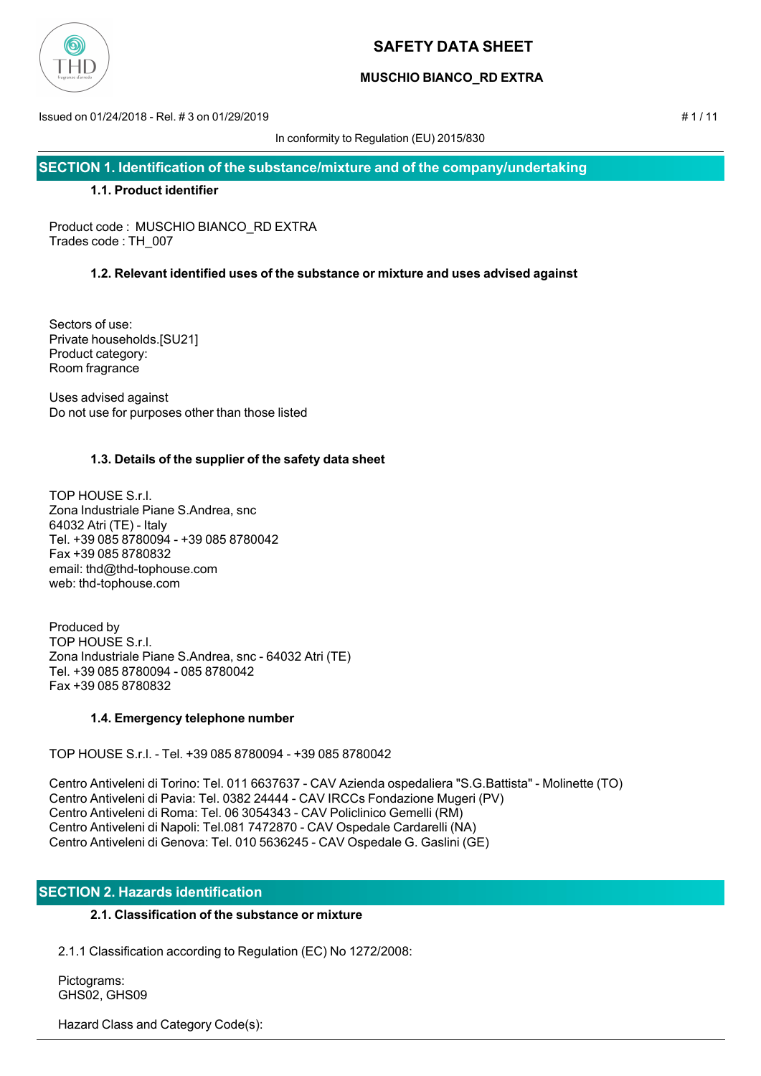

## **MUSCHIO BIANCO\_RD EXTRA**

Issued on 01/24/2018 - Rel. # 3 on 01/29/2019 # 1 / 11

In conformity to Regulation (EU) 2015/830

**SECTION 1. Identification of the substance/mixture and of the company/undertaking**

## **1.1. Product identifier**

Product code : MUSCHIO BIANCO\_RD EXTRA Trades code : TH\_007

## **1.2. Relevant identified uses of the substance or mixture and uses advised against**

Sectors of use: Private households.[SU21] Product category: Room fragrance

Uses advised against Do not use for purposes other than those listed

## **1.3. Details of the supplier of the safety data sheet**

TOP HOUSE S.r.l. Zona Industriale Piane S.Andrea, snc 64032 Atri (TE) - Italy Tel. +39 085 8780094 - +39 085 8780042 Fax +39 085 8780832 email: thd@thd-tophouse.com web: thd-tophouse.com

Produced by TOP HOUSE S.r.l. Zona Industriale Piane S.Andrea, snc - 64032 Atri (TE) Tel. +39 085 8780094 - 085 8780042 Fax +39 085 8780832

## **1.4. Emergency telephone number**

TOP HOUSE S.r.l. - Tel. +39 085 8780094 - +39 085 8780042

Centro Antiveleni di Torino: Tel. 011 6637637 - CAV Azienda ospedaliera "S.G.Battista" - Molinette (TO) Centro Antiveleni di Pavia: Tel. 0382 24444 - CAV IRCCs Fondazione Mugeri (PV) Centro Antiveleni di Roma: Tel. 06 3054343 - CAV Policlinico Gemelli (RM) Centro Antiveleni di Napoli: Tel.081 7472870 - CAV Ospedale Cardarelli (NA) Centro Antiveleni di Genova: Tel. 010 5636245 - CAV Ospedale G. Gaslini (GE)

## **SECTION 2. Hazards identification**

## **2.1. Classification of the substance or mixture**

2.1.1 Classification according to Regulation (EC) No 1272/2008:

 Pictograms: GHS02, GHS09

Hazard Class and Category Code(s):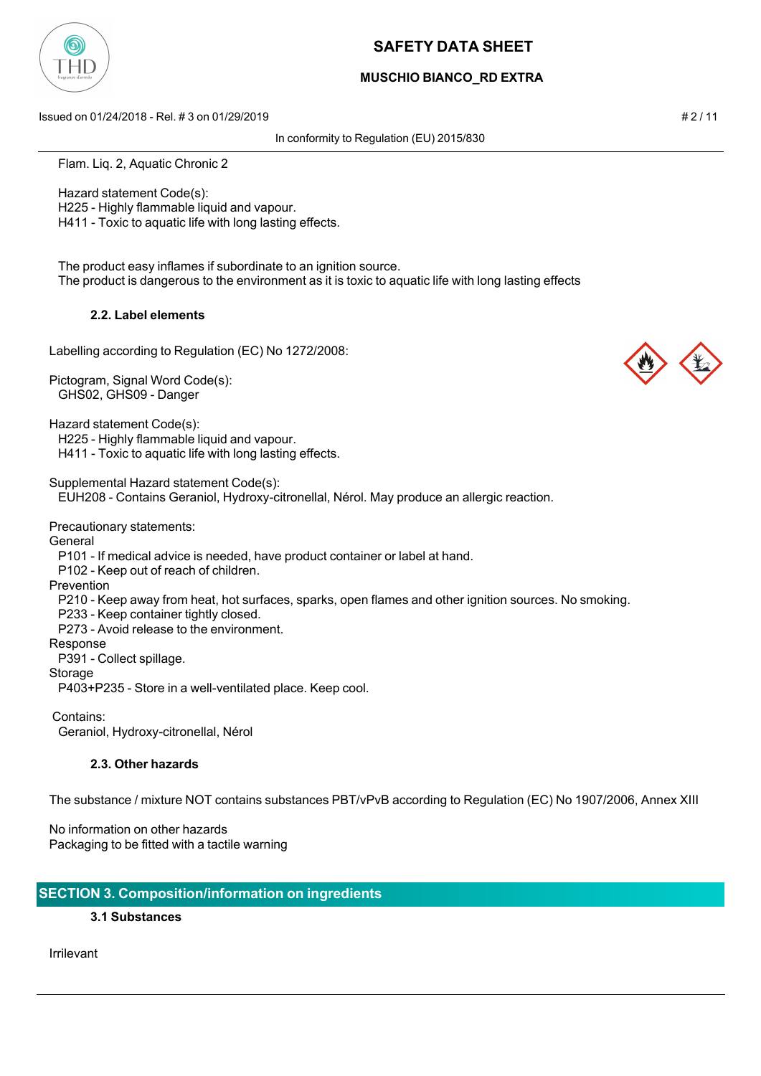

## **MUSCHIO BIANCO\_RD EXTRA**

Issued on 01/24/2018 - Rel. # 3 on 01/29/2019 # 2 / 11

In conformity to Regulation (EU) 2015/830

Flam. Liq. 2, Aquatic Chronic 2

 Hazard statement Code(s): H225 - Highly flammable liquid and vapour. H411 - Toxic to aquatic life with long lasting effects.

 The product easy inflames if subordinate to an ignition source. The product is dangerous to the environment as it is toxic to aquatic life with long lasting effects

## **2.2. Label elements**

Labelling according to Regulation (EC) No 1272/2008:

Pictogram, Signal Word Code(s): GHS02, GHS09 - Danger

Hazard statement Code(s): H225 - Highly flammable liquid and vapour. H411 - Toxic to aquatic life with long lasting effects.

Supplemental Hazard statement Code(s):

EUH208 - Contains Geraniol, Hydroxy-citronellal, Nérol. May produce an allergic reaction.

Precautionary statements:

General

P101 - If medical advice is needed, have product container or label at hand.

P102 - Keep out of reach of children.

Prevention

P210 - Keep away from heat, hot surfaces, sparks, open flames and other ignition sources. No smoking.

P233 - Keep container tightly closed.

P273 - Avoid release to the environment.

Response

P391 - Collect spillage.

Storage

P403+P235 - Store in a well-ventilated place. Keep cool.

Contains:

Geraniol, Hydroxy-citronellal, Nérol

## **2.3. Other hazards**

The substance / mixture NOT contains substances PBT/vPvB according to Regulation (EC) No 1907/2006, Annex XIII

No information on other hazards Packaging to be fitted with a tactile warning

## **SECTION 3. Composition/information on ingredients**

#### **3.1 Substances**

Irrilevant



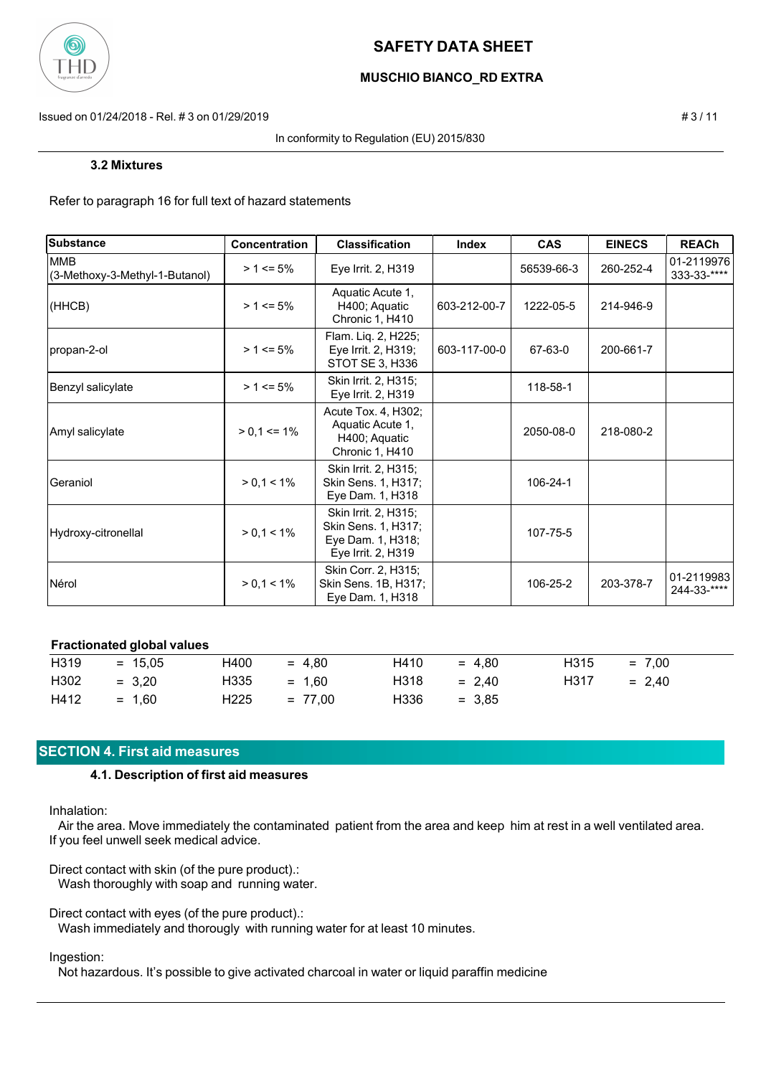

## **MUSCHIO BIANCO\_RD EXTRA**

Issued on 01/24/2018 - Rel. # 3 on 01/29/2019 # 3 / 11

#### In conformity to Regulation (EU) 2015/830

#### **3.2 Mixtures**

Refer to paragraph 16 for full text of hazard statements

| Substance                                    | Concentration   | <b>Classification</b>                                                                  | Index        | <b>CAS</b> | <b>EINECS</b> | <b>REACh</b>              |
|----------------------------------------------|-----------------|----------------------------------------------------------------------------------------|--------------|------------|---------------|---------------------------|
| <b>MMB</b><br>(3-Methoxy-3-Methyl-1-Butanol) | $> 1 \le 5\%$   | Eye Irrit. 2, H319                                                                     |              | 56539-66-3 | 260-252-4     | 01-2119976<br>333-33-**** |
| (HHCB)                                       | $> 1 \le 5\%$   | Aquatic Acute 1,<br>H400; Aquatic<br>Chronic 1, H410                                   | 603-212-00-7 | 1222-05-5  | 214-946-9     |                           |
| propan-2-ol                                  | $> 1 \le 5\%$   | Flam. Liq. 2, H225;<br>Eye Irrit. 2, H319;<br>STOT SE 3, H336                          | 603-117-00-0 | 67-63-0    | 200-661-7     |                           |
| Benzyl salicylate                            | $> 1 \le 5\%$   | Skin Irrit. 2, H315;<br>Eye Irrit. 2, H319                                             |              | 118-58-1   |               |                           |
| Amyl salicylate                              | $> 0.1 \le 1\%$ | Acute Tox. 4, H302;<br>Aquatic Acute 1,<br>H400; Aquatic<br>Chronic 1, H410            |              | 2050-08-0  | 218-080-2     |                           |
| Geraniol                                     | $> 0.1 < 1\%$   | Skin Irrit. 2, H315;<br>Skin Sens. 1, H317;<br>Eye Dam. 1, H318                        |              | 106-24-1   |               |                           |
| Hydroxy-citronellal                          | $> 0,1 < 1\%$   | Skin Irrit. 2, H315;<br>Skin Sens. 1, H317;<br>Eye Dam. 1, H318;<br>Eye Irrit. 2, H319 |              | 107-75-5   |               |                           |
| Nérol                                        | $> 0.1 < 1\%$   | Skin Corr. 2, H315;<br>Skin Sens. 1B, H317;<br>Eye Dam. 1, H318                        |              | 106-25-2   | 203-378-7     | 01-2119983<br>244-33-**** |

## **Fractionated global values**

| H319 | $= 15.05$ | H400          | $= 4.80$  | H410 | $= 4.80$ | H315 | $= 7.00$ |
|------|-----------|---------------|-----------|------|----------|------|----------|
| H302 | $= 3.20$  | $H335 = 1.60$ |           | H318 | $= 2.40$ | H317 | $= 2.40$ |
| H412 | $= 1.60$  | H225          | $= 77.00$ | H336 | $= 3.85$ |      |          |

## **SECTION 4. First aid measures**

### **4.1. Description of first aid measures**

Inhalation:

 Air the area. Move immediately the contaminated patient from the area and keep him at rest in a well ventilated area. If you feel unwell seek medical advice.

Direct contact with skin (of the pure product).:

Wash thoroughly with soap and running water.

Direct contact with eyes (of the pure product).:

Wash immediately and thorougly with running water for at least 10 minutes.

### Ingestion:

Not hazardous. It's possible to give activated charcoal in water or liquid paraffin medicine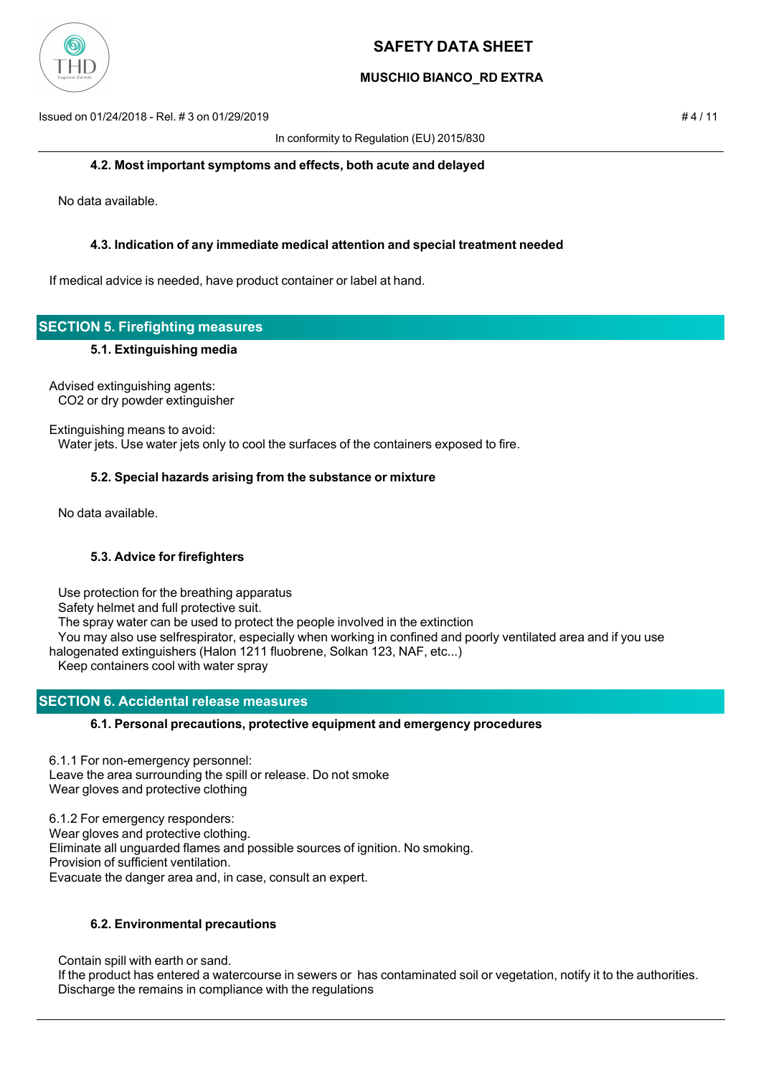

## **MUSCHIO BIANCO\_RD EXTRA**

Issued on 01/24/2018 - Rel. # 3 on 01/29/2019 # 4 / 11

In conformity to Regulation (EU) 2015/830

### **4.2. Most important symptoms and effects, both acute and delayed**

No data available.

## **4.3. Indication of any immediate medical attention and special treatment needed**

If medical advice is needed, have product container or label at hand.

# **SECTION 5. Firefighting measures**

## **5.1. Extinguishing media**

Advised extinguishing agents: CO2 or dry powder extinguisher

Extinguishing means to avoid: Water jets. Use water jets only to cool the surfaces of the containers exposed to fire.

## **5.2. Special hazards arising from the substance or mixture**

No data available.

## **5.3. Advice for firefighters**

Use protection for the breathing apparatus

Safety helmet and full protective suit.

The spray water can be used to protect the people involved in the extinction

 You may also use selfrespirator, especially when working in confined and poorly ventilated area and if you use halogenated extinguishers (Halon 1211 fluobrene, Solkan 123, NAF, etc...)

Keep containers cool with water spray

## **SECTION 6. Accidental release measures**

## **6.1. Personal precautions, protective equipment and emergency procedures**

6.1.1 For non-emergency personnel: Leave the area surrounding the spill or release. Do not smoke Wear gloves and protective clothing

6.1.2 For emergency responders: Wear gloves and protective clothing. Eliminate all unguarded flames and possible sources of ignition. No smoking. Provision of sufficient ventilation. Evacuate the danger area and, in case, consult an expert.

## **6.2. Environmental precautions**

Contain spill with earth or sand.

 If the product has entered a watercourse in sewers or has contaminated soil or vegetation, notify it to the authorities. Discharge the remains in compliance with the regulations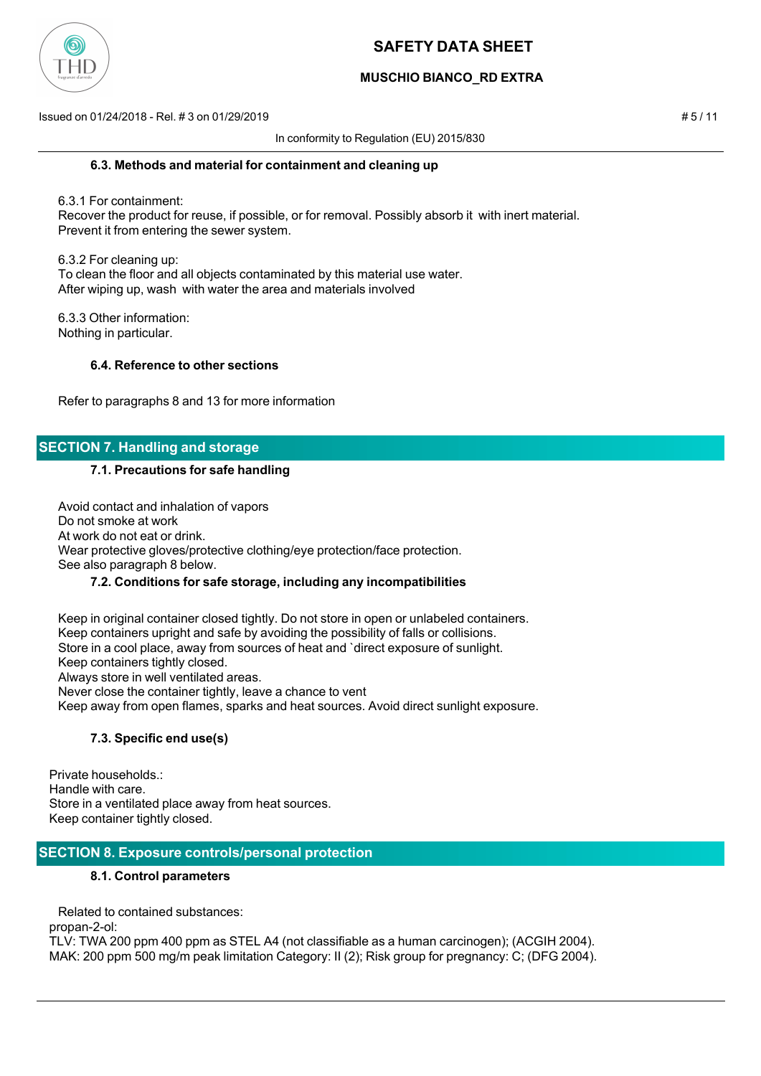

## **MUSCHIO BIANCO\_RD EXTRA**

Issued on 01/24/2018 - Rel. # 3 on 01/29/2019 # 5 / 11

In conformity to Regulation (EU) 2015/830

### **6.3. Methods and material for containment and cleaning up**

 6.3.1 For containment: Recover the product for reuse, if possible, or for removal. Possibly absorb it with inert material. Prevent it from entering the sewer system.

 6.3.2 For cleaning up: To clean the floor and all objects contaminated by this material use water. After wiping up, wash with water the area and materials involved

 6.3.3 Other information: Nothing in particular.

## **6.4. Reference to other sections**

Refer to paragraphs 8 and 13 for more information

## **SECTION 7. Handling and storage**

### **7.1. Precautions for safe handling**

 Avoid contact and inhalation of vapors Do not smoke at work At work do not eat or drink. Wear protective gloves/protective clothing/eye protection/face protection. See also paragraph 8 below.

## **7.2. Conditions for safe storage, including any incompatibilities**

 Keep in original container closed tightly. Do not store in open or unlabeled containers. Keep containers upright and safe by avoiding the possibility of falls or collisions. Store in a cool place, away from sources of heat and `direct exposure of sunlight. Keep containers tightly closed. Always store in well ventilated areas. Never close the container tightly, leave a chance to vent Keep away from open flames, sparks and heat sources. Avoid direct sunlight exposure.

## **7.3. Specific end use(s)**

Private households.: Handle with care. Store in a ventilated place away from heat sources. Keep container tightly closed.

## **SECTION 8. Exposure controls/personal protection**

### **8.1. Control parameters**

Related to contained substances:

propan-2-ol:

TLV: TWA 200 ppm 400 ppm as STEL A4 (not classifiable as a human carcinogen); (ACGIH 2004). MAK: 200 ppm 500 mg/m peak limitation Category: II (2); Risk group for pregnancy: C; (DFG 2004).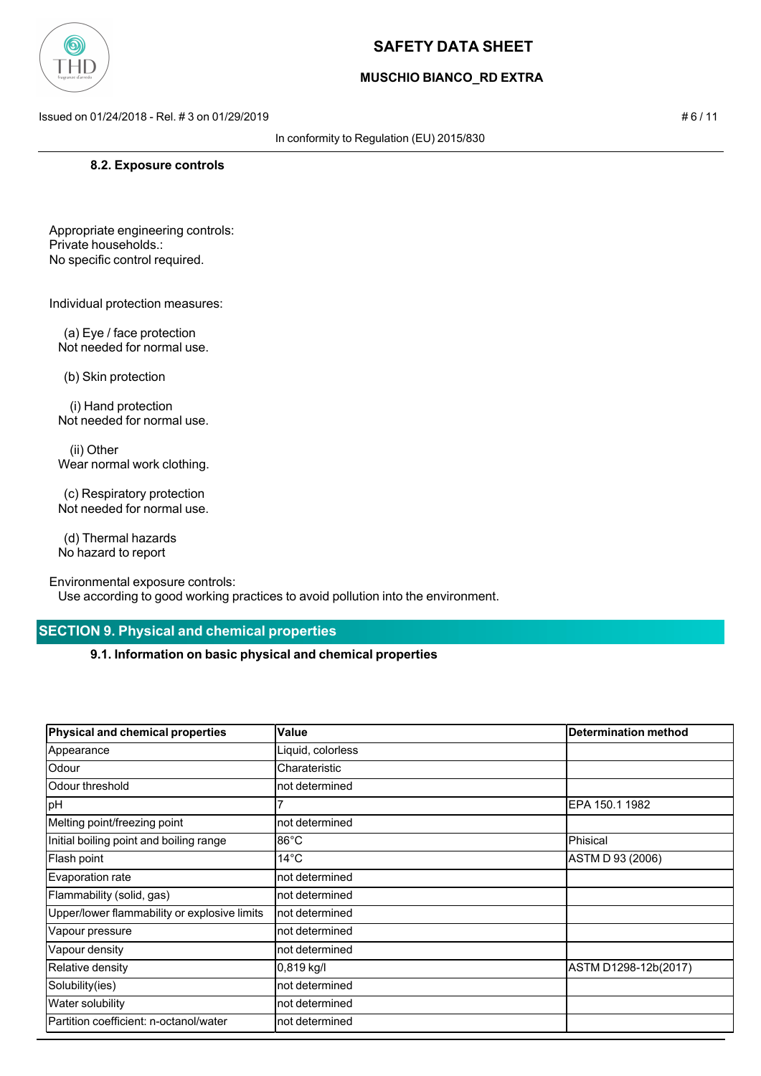

## **MUSCHIO BIANCO\_RD EXTRA**

Issued on 01/24/2018 - Rel. # 3 on 01/29/2019 # 6 / 11

#### In conformity to Regulation (EU) 2015/830

#### **8.2. Exposure controls**

Appropriate engineering controls: Private households.: No specific control required.

Individual protection measures:

 (a) Eye / face protection Not needed for normal use.

(b) Skin protection

 (i) Hand protection Not needed for normal use.

 (ii) Other Wear normal work clothing.

 (c) Respiratory protection Not needed for normal use.

 (d) Thermal hazards No hazard to report

Environmental exposure controls:

Use according to good working practices to avoid pollution into the environment.

## **SECTION 9. Physical and chemical properties**

**9.1. Information on basic physical and chemical properties**

| Physical and chemical properties             | Value             | <b>Determination method</b> |
|----------------------------------------------|-------------------|-----------------------------|
| Appearance                                   | Liquid, colorless |                             |
| Odour                                        | Charateristic     |                             |
| Odour threshold                              | not determined    |                             |
| pH                                           |                   | EPA 150.1 1982              |
| Melting point/freezing point                 | not determined    |                             |
| Initial boiling point and boiling range      | l86°C             | Phisical                    |
| Flash point                                  | 14°C              | ASTM D 93 (2006)            |
| Evaporation rate                             | not determined    |                             |
| Flammability (solid, gas)                    | not determined    |                             |
| Upper/lower flammability or explosive limits | not determined    |                             |
| Vapour pressure                              | not determined    |                             |
| Vapour density                               | not determined    |                             |
| Relative density                             | $0,819$ kg/l      | ASTM D1298-12b(2017)        |
| Solubility(ies)                              | not determined    |                             |
| Water solubility                             | not determined    |                             |
| Partition coefficient: n-octanol/water       | not determined    |                             |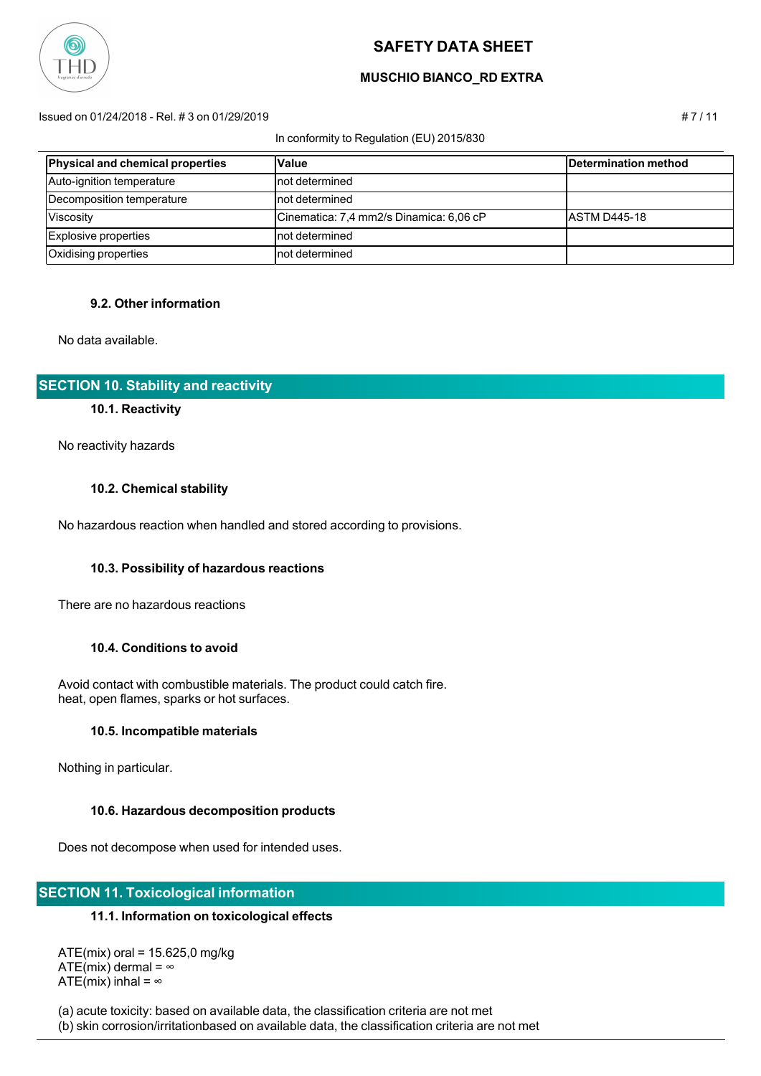

## **MUSCHIO BIANCO\_RD EXTRA**

#### Issued on 01/24/2018 - Rel. # 3 on 01/29/2019 # 7 / 11

#### In conformity to Regulation (EU) 2015/830

**Physical and chemical properties Value Value Determination method** Auto-ignition temperature not not determined Decomposition temperature not not determined Viscosity **Cinematica: 7,4 mm2/s Dinamica: 6,06 cP** ASTM D445-18 Explosive properties hot determined Oxidising properties not contact a not determined

## **9.2. Other information**

No data available.

## **SECTION 10. Stability and reactivity**

#### **10.1. Reactivity**

No reactivity hazards

### **10.2. Chemical stability**

No hazardous reaction when handled and stored according to provisions.

#### **10.3. Possibility of hazardous reactions**

There are no hazardous reactions

#### **10.4. Conditions to avoid**

 Avoid contact with combustible materials. The product could catch fire. heat, open flames, sparks or hot surfaces.

#### **10.5. Incompatible materials**

Nothing in particular.

#### **10.6. Hazardous decomposition products**

Does not decompose when used for intended uses.

## **SECTION 11. Toxicological information**

### **11.1. Information on toxicological effects**

 ATE(mix) oral = 15.625,0 mg/kg ATE(mix) dermal =  $\infty$ ATE(mix) inhal =  $\infty$ 

(a) acute toxicity: based on available data, the classification criteria are not met

(b) skin corrosion/irritationbased on available data, the classification criteria are not met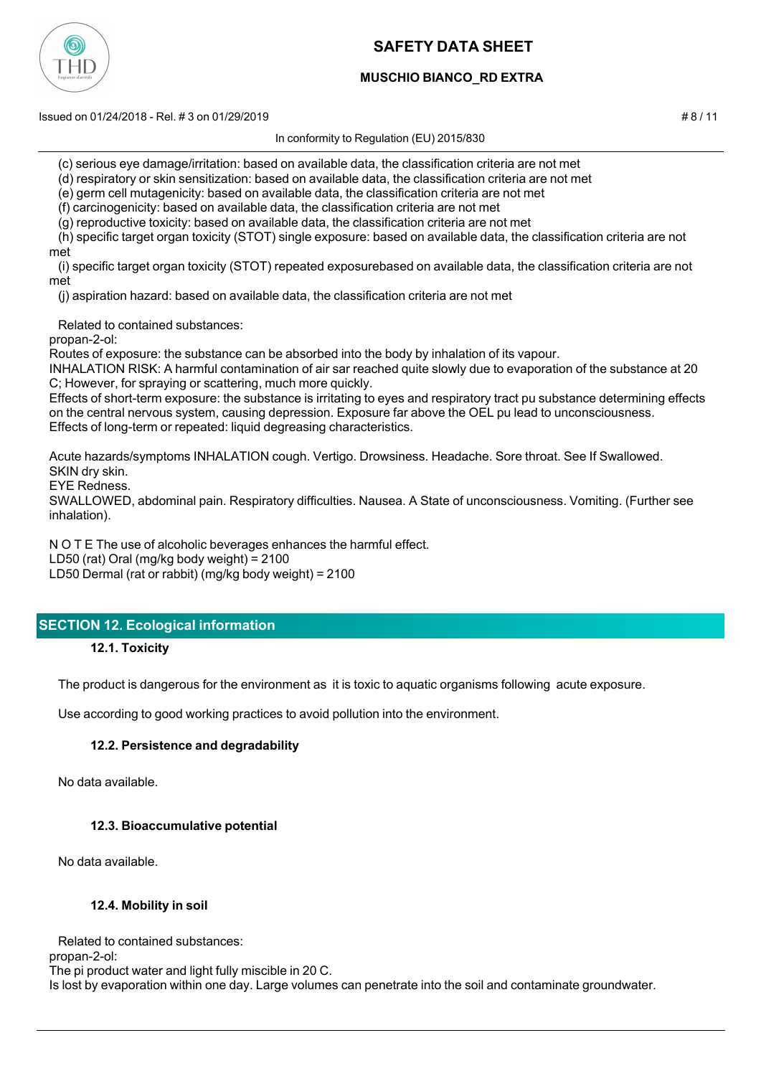

## **MUSCHIO BIANCO\_RD EXTRA**

Issued on 01/24/2018 - Rel. # 3 on 01/29/2019 # 8 / 11

In conformity to Regulation (EU) 2015/830

(c) serious eye damage/irritation: based on available data, the classification criteria are not met

(d) respiratory or skin sensitization: based on available data, the classification criteria are not met

(e) germ cell mutagenicity: based on available data, the classification criteria are not met

(f) carcinogenicity: based on available data, the classification criteria are not met

(g) reproductive toxicity: based on available data, the classification criteria are not met

 (h) specific target organ toxicity (STOT) single exposure: based on available data, the classification criteria are not met

 (i) specific target organ toxicity (STOT) repeated exposurebased on available data, the classification criteria are not met

(j) aspiration hazard: based on available data, the classification criteria are not met

Related to contained substances:

propan-2-ol:

Routes of exposure: the substance can be absorbed into the body by inhalation of its vapour.

INHALATION RISK: A harmful contamination of air sar reached quite slowly due to evaporation of the substance at 20 C; However, for spraying or scattering, much more quickly.

Effects of short-term exposure: the substance is irritating to eyes and respiratory tract pu substance determining effects on the central nervous system, causing depression. Exposure far above the OEL pu lead to unconsciousness. Effects of long-term or repeated: liquid degreasing characteristics.

Acute hazards/symptoms INHALATION cough. Vertigo. Drowsiness. Headache. Sore throat. See If Swallowed. SKIN dry skin.

EYE Redness.

SWALLOWED, abdominal pain. Respiratory difficulties. Nausea. A State of unconsciousness. Vomiting. (Further see inhalation).

N O T E The use of alcoholic beverages enhances the harmful effect.

LD50 (rat) Oral (mg/kg body weight) = 2100

LD50 Dermal (rat or rabbit) (mg/kg body weight) = 2100

## **SECTION 12. Ecological information**

**12.1. Toxicity**

The product is dangerous for the environment as it is toxic to aquatic organisms following acute exposure.

Use according to good working practices to avoid pollution into the environment.

## **12.2. Persistence and degradability**

No data available.

## **12.3. Bioaccumulative potential**

No data available.

## **12.4. Mobility in soil**

Related to contained substances:

propan-2-ol:

The pi product water and light fully miscible in 20 C.

Is lost by evaporation within one day. Large volumes can penetrate into the soil and contaminate groundwater.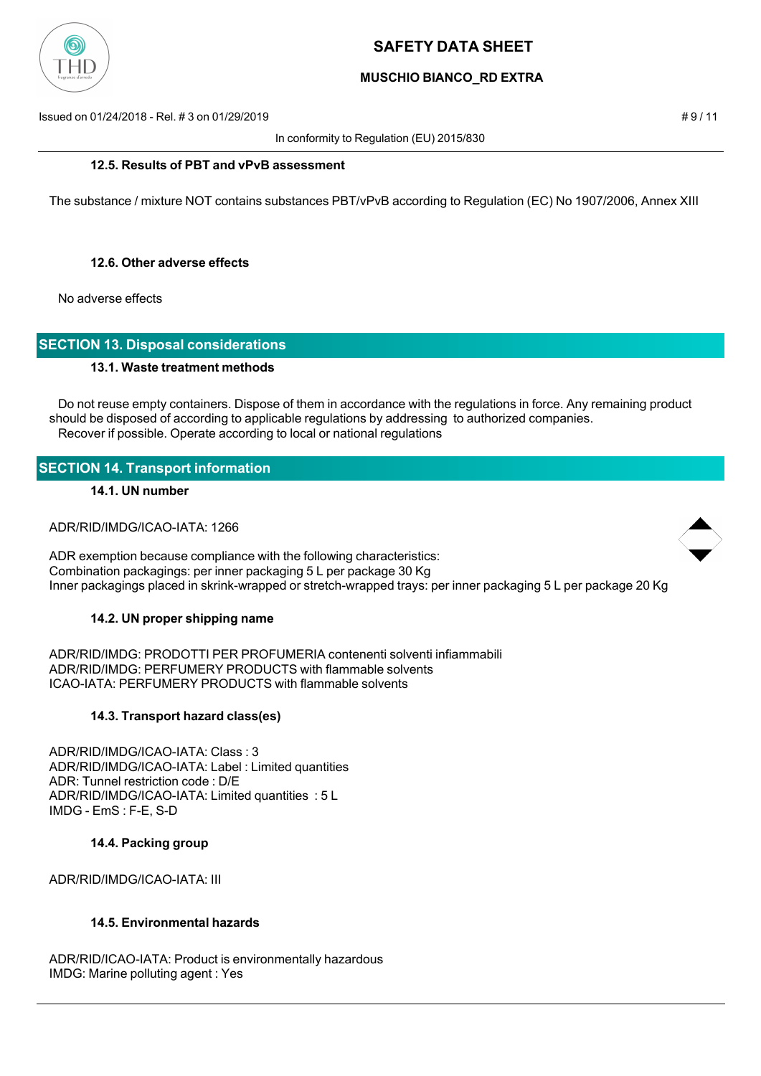

## **MUSCHIO BIANCO\_RD EXTRA**

Issued on 01/24/2018 - Rel. # 3 on 01/29/2019 # 9 / 11

In conformity to Regulation (EU) 2015/830

### **12.5. Results of PBT and vPvB assessment**

The substance / mixture NOT contains substances PBT/vPvB according to Regulation (EC) No 1907/2006, Annex XIII

### **12.6. Other adverse effects**

No adverse effects

## **SECTION 13. Disposal considerations**

#### **13.1. Waste treatment methods**

 Do not reuse empty containers. Dispose of them in accordance with the regulations in force. Any remaining product should be disposed of according to applicable regulations by addressing to authorized companies. Recover if possible. Operate according to local or national regulations

## **SECTION 14. Transport information**

#### **14.1. UN number**

ADR/RID/IMDG/ICAO-IATA: 1266

ADR exemption because compliance with the following characteristics: Combination packagings: per inner packaging 5 L per package 30 Kg Inner packagings placed in skrink-wrapped or stretch-wrapped trays: per inner packaging 5 L per package 20 Kg

## **14.2. UN proper shipping name**

ADR/RID/IMDG: PRODOTTI PER PROFUMERIA contenenti solventi infiammabili ADR/RID/IMDG: PERFUMERY PRODUCTS with flammable solvents ICAO-IATA: PERFUMERY PRODUCTS with flammable solvents

#### **14.3. Transport hazard class(es)**

ADR/RID/IMDG/ICAO-IATA: Class : 3 ADR/RID/IMDG/ICAO-IATA: Label : Limited quantities ADR: Tunnel restriction code : D/E ADR/RID/IMDG/ICAO-IATA: Limited quantities : 5 L IMDG - EmS : F-E, S-D

#### **14.4. Packing group**

ADR/RID/IMDG/ICAO-IATA: III

## **14.5. Environmental hazards**

ADR/RID/ICAO-IATA: Product is environmentally hazardous IMDG: Marine polluting agent : Yes

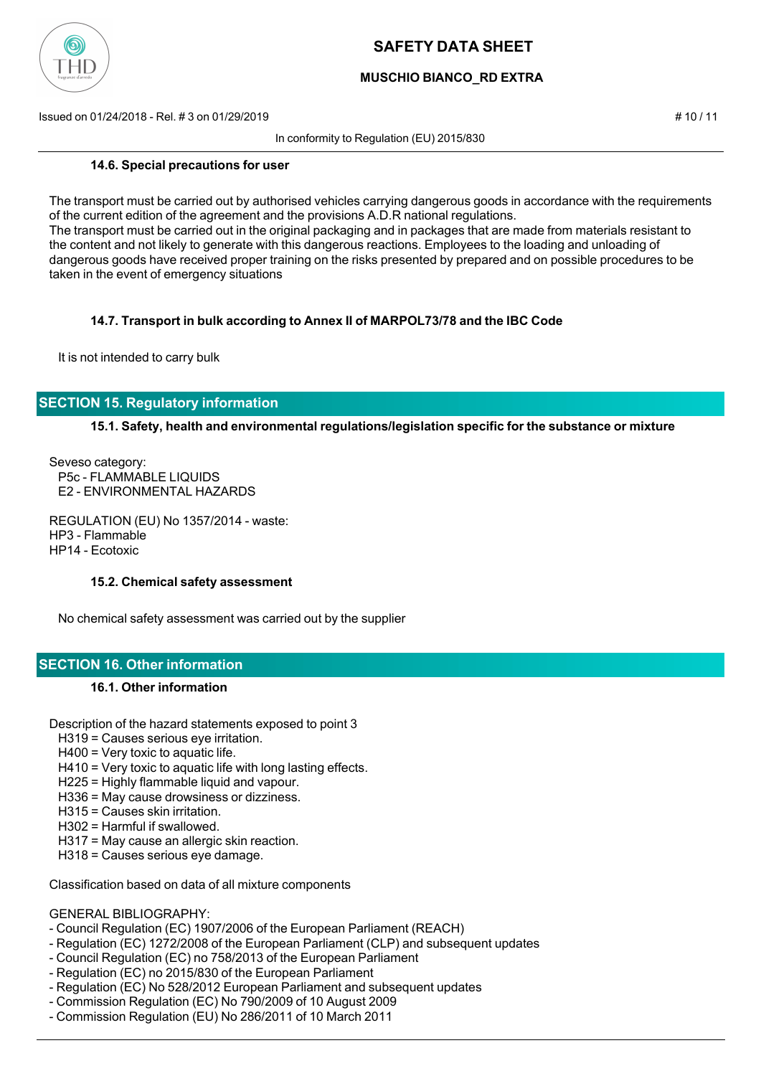

## **MUSCHIO BIANCO\_RD EXTRA**

Issued on 01/24/2018 - Rel. # 3 on 01/29/2019 # 10 / 11

In conformity to Regulation (EU) 2015/830

**14.6. Special precautions for user**

The transport must be carried out by authorised vehicles carrying dangerous goods in accordance with the requirements of the current edition of the agreement and the provisions A.D.R national regulations. The transport must be carried out in the original packaging and in packages that are made from materials resistant to the content and not likely to generate with this dangerous reactions. Employees to the loading and unloading of dangerous goods have received proper training on the risks presented by prepared and on possible procedures to be taken in the event of emergency situations

## **14.7. Transport in bulk according to Annex II of MARPOL73/78 and the IBC Code**

It is not intended to carry bulk

## **SECTION 15. Regulatory information**

## **15.1. Safety, health and environmental regulations/legislation specific for the substance or mixture**

Seveso category: P5c - FLAMMABLE LIQUIDS E2 - ENVIRONMENTAL HAZARDS

REGULATION (EU) No 1357/2014 - waste: HP3 - Flammable HP14 - Ecotoxic

#### **15.2. Chemical safety assessment**

No chemical safety assessment was carried out by the supplier

## **SECTION 16. Other information**

## **16.1. Other information**

Description of the hazard statements exposed to point 3

- H319 = Causes serious eye irritation.
- H400 = Very toxic to aquatic life.
- H410 = Very toxic to aquatic life with long lasting effects.
- H225 = Highly flammable liquid and vapour.
- H336 = May cause drowsiness or dizziness.
- H315 = Causes skin irritation.
- H302 = Harmful if swallowed.
- H317 = May cause an allergic skin reaction.
- H318 = Causes serious eye damage.

Classification based on data of all mixture components

#### GENERAL BIBLIOGRAPHY:

- Council Regulation (EC) 1907/2006 of the European Parliament (REACH)
- Regulation (EC) 1272/2008 of the European Parliament (CLP) and subsequent updates
- Council Regulation (EC) no 758/2013 of the European Parliament
- Regulation (EC) no 2015/830 of the European Parliament
- Regulation (EC) No 528/2012 European Parliament and subsequent updates
- Commission Regulation (EC) No 790/2009 of 10 August 2009
- Commission Regulation (EU) No 286/2011 of 10 March 2011